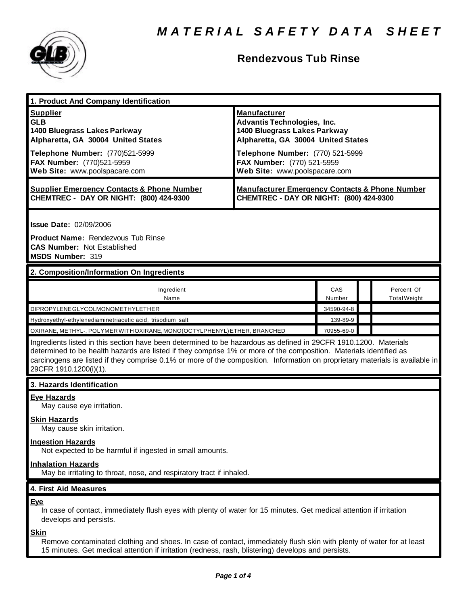

# **Rendezvous Tub Rinse**

| 1. Product And Company Identification                                                                                                                                                                                                                                                                                                                                                             |                                                                                                                                                                                                                                    |               |                                   |  |
|---------------------------------------------------------------------------------------------------------------------------------------------------------------------------------------------------------------------------------------------------------------------------------------------------------------------------------------------------------------------------------------------------|------------------------------------------------------------------------------------------------------------------------------------------------------------------------------------------------------------------------------------|---------------|-----------------------------------|--|
| <b>Supplier</b><br><b>GLB</b><br>1400 Bluegrass Lakes Parkway<br>Alpharetta, GA 30004 United States<br>Telephone Number: (770)521-5999<br>FAX Number: (770)521-5959<br>Web Site: www.poolspacare.com                                                                                                                                                                                              | <b>Manufacturer</b><br><b>Advantis Technologies, Inc.</b><br>1400 Bluegrass Lakes Parkway<br>Alpharetta, GA 30004 United States<br>Telephone Number: (770) 521-5999<br>FAX Number: (770) 521-5959<br>Web Site: www.poolspacare.com |               |                                   |  |
| <b>Supplier Emergency Contacts &amp; Phone Number</b><br>CHEMTREC - DAY OR NIGHT: (800) 424-9300                                                                                                                                                                                                                                                                                                  | <b>Manufacturer Emergency Contacts &amp; Phone Number</b><br>CHEMTREC - DAY OR NIGHT: (800) 424-9300                                                                                                                               |               |                                   |  |
| <b>Issue Date: 02/09/2006</b><br>Product Name: Rendezvous Tub Rinse<br><b>CAS Number: Not Established</b><br>MSDS Number: 319                                                                                                                                                                                                                                                                     |                                                                                                                                                                                                                                    |               |                                   |  |
| 2. Composition/Information On Ingredients                                                                                                                                                                                                                                                                                                                                                         |                                                                                                                                                                                                                                    |               |                                   |  |
| Ingredient<br>Name                                                                                                                                                                                                                                                                                                                                                                                |                                                                                                                                                                                                                                    | CAS<br>Number | Percent Of<br><b>Total Weight</b> |  |
| DIPROPYLENE GLYCOLMONOMETHYLETHER                                                                                                                                                                                                                                                                                                                                                                 |                                                                                                                                                                                                                                    | 34590-94-8    |                                   |  |
| Hydroxyethyl-ethylenediaminetriacetic acid, trisodium salt                                                                                                                                                                                                                                                                                                                                        |                                                                                                                                                                                                                                    | 139-89-9      |                                   |  |
| OXIRANE, METHYL-, POLYMER WITH OXIRANE, MONO(OCTYLPHENYL) ETHER, BRANCHED                                                                                                                                                                                                                                                                                                                         |                                                                                                                                                                                                                                    | 70955-69-0    |                                   |  |
| Ingredients listed in this section have been determined to be hazardous as defined in 29CFR 1910.1200. Materials<br>determined to be health hazards are listed if they comprise 1% or more of the composition. Materials identified as<br>carcinogens are listed if they comprise 0.1% or more of the composition. Information on proprietary materials is available in<br>29CFR 1910.1200(i)(1). |                                                                                                                                                                                                                                    |               |                                   |  |
| 3. Hazards Identification                                                                                                                                                                                                                                                                                                                                                                         |                                                                                                                                                                                                                                    |               |                                   |  |
| <b>Eye Hazards</b><br>May cause eye irritation.<br><b>Skin Hazards</b><br>May cause skin irritation.<br><b>Ingestion Hazards</b><br>Not expected to be harmful if ingested in small amounts.<br><b>Inhalation Hazards</b>                                                                                                                                                                         |                                                                                                                                                                                                                                    |               |                                   |  |
| May be irritating to throat, nose, and respiratory tract if inhaled.                                                                                                                                                                                                                                                                                                                              |                                                                                                                                                                                                                                    |               |                                   |  |
| 4. First Aid Measures                                                                                                                                                                                                                                                                                                                                                                             |                                                                                                                                                                                                                                    |               |                                   |  |
| <b>Eye</b><br>In case of contact, immediately flush eyes with plenty of water for 15 minutes. Get medical attention if irritation<br>develops and persists.<br><u>Skin</u>                                                                                                                                                                                                                        |                                                                                                                                                                                                                                    |               |                                   |  |
|                                                                                                                                                                                                                                                                                                                                                                                                   |                                                                                                                                                                                                                                    |               |                                   |  |

Remove contaminated clothing and shoes. In case of contact, immediately flush skin with plenty of water for at least 15 minutes. Get medical attention if irritation (redness, rash, blistering) develops and persists.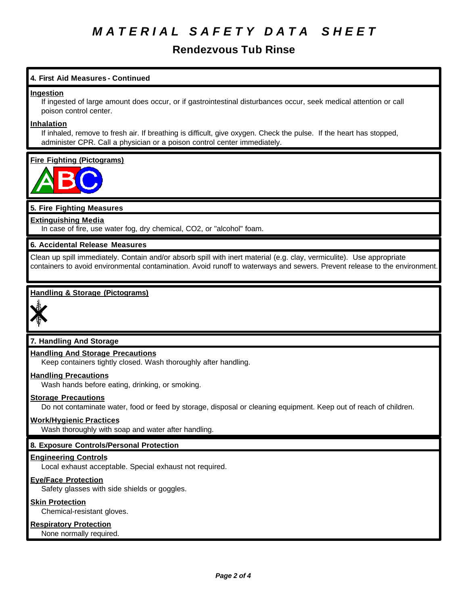# *M A T E R I A L S A F E T Y D A T A S H E E T*

# **Rendezvous Tub Rinse**

## **4. First Aid Measures - Continued**

#### **Ingestion**

If ingested of large amount does occur, or if gastrointestinal disturbances occur, seek medical attention or call poison control center.

#### **Inhalation**

If inhaled, remove to fresh air. If breathing is difficult, give oxygen. Check the pulse. If the heart has stopped, administer CPR. Call a physician or a poison control center immediately.

## **Fire Fighting (Pictograms)**



## **5. Fire Fighting Measures**

#### **Extinguishing Media**

In case of fire, use water fog, dry chemical, CO2, or "alcohol" foam.

#### **6. Accidental Release Measures**

Clean up spill immediately. Contain and/or absorb spill with inert material (e.g. clay, vermiculite). Use appropriate containers to avoid environmental contamination. Avoid runoff to waterways and sewers. Prevent release to the environment.

## **Handling & Storage (Pictograms)**



## **7. Handling And Storage**

# **Handling And Storage Precautions**

Keep containers tightly closed. Wash thoroughly after handling.

#### **Handling Precautions**

Wash hands before eating, drinking, or smoking.

#### **Storage Precautions**

Do not contaminate water, food or feed by storage, disposal or cleaning equipment. Keep out of reach of children.

#### **Work/Hygienic Practices**

Wash thoroughly with soap and water after handling.

## **8. Exposure Controls/Personal Protection**

#### **Engineering Controls**

Local exhaust acceptable. Special exhaust not required.

#### **Eye/Face Protection**

Safety glasses with side shields or goggles.

#### **Skin Protection**

Chemical-resistant gloves.

#### **Respiratory Protection**

None normally required.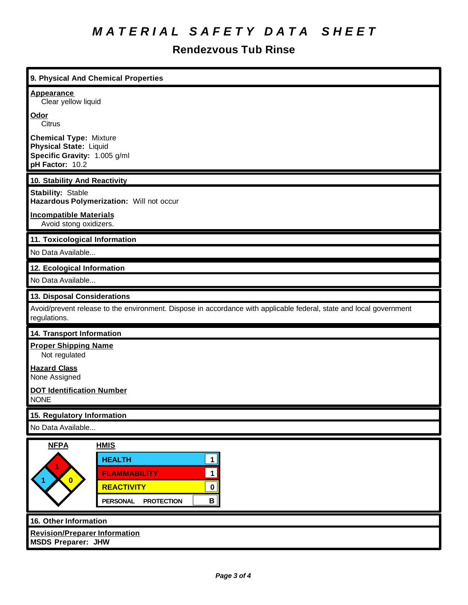# *M A T E R I A L S A F E T Y D A T A S H E E T*

# **Rendezvous Tub Rinse**

| 9. Physical And Chemical Properties                                                                                                                                                                           |  |  |  |
|---------------------------------------------------------------------------------------------------------------------------------------------------------------------------------------------------------------|--|--|--|
| <b>Appearance</b><br>Clear yellow liquid                                                                                                                                                                      |  |  |  |
| Odor<br>Citrus                                                                                                                                                                                                |  |  |  |
| <b>Chemical Type: Mixture</b><br><b>Physical State: Liquid</b><br>Specific Gravity: 1.005 g/ml<br>pH Factor: 10.2                                                                                             |  |  |  |
| 10. Stability And Reactivity                                                                                                                                                                                  |  |  |  |
| <b>Stability: Stable</b><br>Hazardous Polymerization: Will not occur                                                                                                                                          |  |  |  |
| <b>Incompatible Materials</b><br>Avoid stong oxidizers.                                                                                                                                                       |  |  |  |
| 11. Toxicological Information                                                                                                                                                                                 |  |  |  |
| No Data Available                                                                                                                                                                                             |  |  |  |
| 12. Ecological Information                                                                                                                                                                                    |  |  |  |
| No Data Available                                                                                                                                                                                             |  |  |  |
| 13. Disposal Considerations                                                                                                                                                                                   |  |  |  |
| Avoid/prevent release to the environment. Dispose in accordance with applicable federal, state and local government<br>regulations.                                                                           |  |  |  |
| <b>14. Transport Information</b>                                                                                                                                                                              |  |  |  |
| <b>Proper Shipping Name</b><br>Not regulated                                                                                                                                                                  |  |  |  |
| <b>Hazard Class</b><br>None Assigned                                                                                                                                                                          |  |  |  |
| <b>DOT Identification Number</b><br><b>NONE</b>                                                                                                                                                               |  |  |  |
| 15. Regulatory Information                                                                                                                                                                                    |  |  |  |
| No Data Available                                                                                                                                                                                             |  |  |  |
| <b>NFPA</b><br><b>HMIS</b><br><b>HEALTH</b><br>1<br>$\mathbf 1$<br><b>FLAMMABILITY</b><br>$\overline{\mathbf{0}}$<br><b>REACTIVITY</b><br>$\mathbf 0$<br>$\mathbf{B}$<br><b>PROTECTION</b><br><b>PERSONAL</b> |  |  |  |
| 16. Other Information                                                                                                                                                                                         |  |  |  |
| <b>Revision/Preparer Information</b><br><b>MSDS Preparer: JHW</b>                                                                                                                                             |  |  |  |